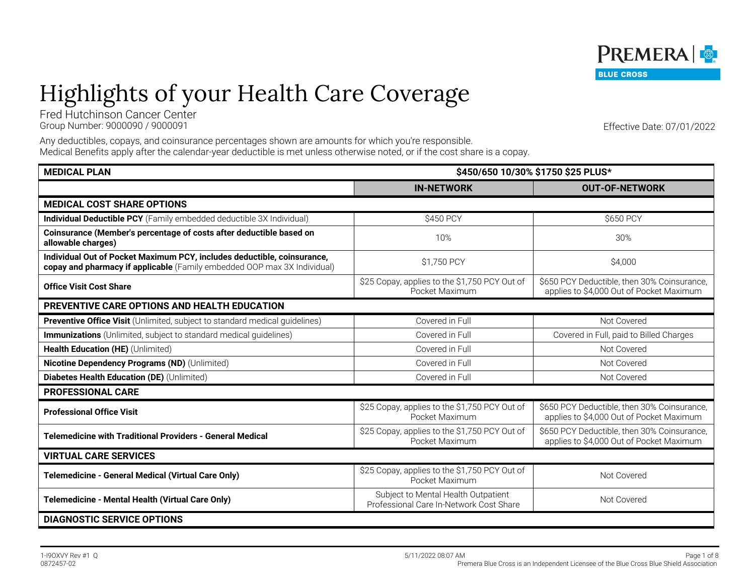# Highlights of your Health Care Coverage

Fred Hutchinson Cancer Center Group Number: 9000090 / 9000091 Effective Date: 07/01/2022

Any deductibles, copays, and coinsurance percentages shown are amounts for which you're responsible. Medical Benefits apply after the calendar-year deductible is met unless otherwise noted, or if the cost share is a copay.

| <b>MEDICAL PLAN</b>                                                                                                                                 | \$450/650 10/30% \$1750 \$25 PLUS*                                             |                                                                                         |
|-----------------------------------------------------------------------------------------------------------------------------------------------------|--------------------------------------------------------------------------------|-----------------------------------------------------------------------------------------|
|                                                                                                                                                     | <b>IN-NETWORK</b>                                                              | <b>OUT-OF-NETWORK</b>                                                                   |
| <b>MEDICAL COST SHARE OPTIONS</b>                                                                                                                   |                                                                                |                                                                                         |
| Individual Deductible PCY (Family embedded deductible 3X Individual)                                                                                | \$450 PCY                                                                      | \$650 PCY                                                                               |
| Coinsurance (Member's percentage of costs after deductible based on<br>allowable charges)                                                           | 10%                                                                            | 30%                                                                                     |
| Individual Out of Pocket Maximum PCY, includes deductible, coinsurance,<br>copay and pharmacy if applicable (Family embedded OOP max 3X Individual) | \$1,750 PCY                                                                    | \$4,000                                                                                 |
| <b>Office Visit Cost Share</b>                                                                                                                      | \$25 Copay, applies to the \$1,750 PCY Out of<br>Pocket Maximum                | \$650 PCY Deductible, then 30% Coinsurance,<br>applies to \$4,000 Out of Pocket Maximum |
| <b>PREVENTIVE CARE OPTIONS AND HEALTH EDUCATION</b>                                                                                                 |                                                                                |                                                                                         |
| Preventive Office Visit (Unlimited, subject to standard medical guidelines)                                                                         | Covered in Full                                                                | Not Covered                                                                             |
| Immunizations (Unlimited, subject to standard medical guidelines)                                                                                   | Covered in Full                                                                | Covered in Full, paid to Billed Charges                                                 |
| Health Education (HE) (Unlimited)                                                                                                                   | Covered in Full                                                                | Not Covered                                                                             |
| Nicotine Dependency Programs (ND) (Unlimited)                                                                                                       | Covered in Full                                                                | Not Covered                                                                             |
| Diabetes Health Education (DE) (Unlimited)                                                                                                          | Covered in Full                                                                | Not Covered                                                                             |
| <b>PROFESSIONAL CARE</b>                                                                                                                            |                                                                                |                                                                                         |
| <b>Professional Office Visit</b>                                                                                                                    | \$25 Copay, applies to the \$1,750 PCY Out of<br>Pocket Maximum                | \$650 PCY Deductible, then 30% Coinsurance,<br>applies to \$4,000 Out of Pocket Maximum |
| <b>Telemedicine with Traditional Providers - General Medical</b>                                                                                    | \$25 Copay, applies to the \$1,750 PCY Out of<br>Pocket Maximum                | \$650 PCY Deductible, then 30% Coinsurance,<br>applies to \$4,000 Out of Pocket Maximum |
| <b>VIRTUAL CARE SERVICES</b>                                                                                                                        |                                                                                |                                                                                         |
| Telemedicine - General Medical (Virtual Care Only)                                                                                                  | \$25 Copay, applies to the \$1,750 PCY Out of<br>Pocket Maximum                | Not Covered                                                                             |
| Telemedicine - Mental Health (Virtual Care Only)                                                                                                    | Subject to Mental Health Outpatient<br>Professional Care In-Network Cost Share | Not Covered                                                                             |
| <b>DIAGNOSTIC SERVICE OPTIONS</b>                                                                                                                   |                                                                                |                                                                                         |

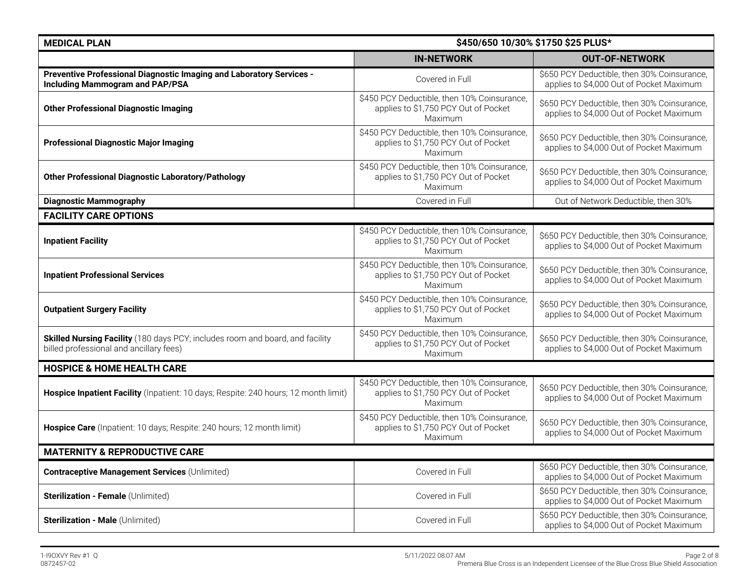| <b>MEDICAL PLAN</b>                                                                                                      | \$450/650 10/30% \$1750 \$25 PLUS*                                                             |                                                                                         |
|--------------------------------------------------------------------------------------------------------------------------|------------------------------------------------------------------------------------------------|-----------------------------------------------------------------------------------------|
|                                                                                                                          | <b>IN-NETWORK</b>                                                                              | <b>OUT-OF-NETWORK</b>                                                                   |
| Preventive Professional Diagnostic Imaging and Laboratory Services -<br><b>Including Mammogram and PAP/PSA</b>           | Covered in Full                                                                                | \$650 PCY Deductible, then 30% Coinsurance,<br>applies to \$4,000 Out of Pocket Maximum |
| <b>Other Professional Diagnostic Imaging</b>                                                                             | \$450 PCY Deductible, then 10% Coinsurance,<br>applies to \$1,750 PCY Out of Pocket<br>Maximum | \$650 PCY Deductible, then 30% Coinsurance,<br>applies to \$4,000 Out of Pocket Maximum |
| <b>Professional Diagnostic Major Imaging</b>                                                                             | \$450 PCY Deductible, then 10% Coinsurance,<br>applies to \$1,750 PCY Out of Pocket<br>Maximum | \$650 PCY Deductible, then 30% Coinsurance,<br>applies to \$4,000 Out of Pocket Maximum |
| <b>Other Professional Diagnostic Laboratory/Pathology</b>                                                                | \$450 PCY Deductible, then 10% Coinsurance,<br>applies to \$1,750 PCY Out of Pocket<br>Maximum | \$650 PCY Deductible, then 30% Coinsurance,<br>applies to \$4,000 Out of Pocket Maximum |
| <b>Diagnostic Mammography</b>                                                                                            | Covered in Full                                                                                | Out of Network Deductible, then 30%                                                     |
| <b>FACILITY CARE OPTIONS</b>                                                                                             |                                                                                                |                                                                                         |
| <b>Inpatient Facility</b>                                                                                                | \$450 PCY Deductible, then 10% Coinsurance,<br>applies to \$1,750 PCY Out of Pocket<br>Maximum | \$650 PCY Deductible, then 30% Coinsurance,<br>applies to \$4,000 Out of Pocket Maximum |
| <b>Inpatient Professional Services</b>                                                                                   | \$450 PCY Deductible, then 10% Coinsurance,<br>applies to \$1,750 PCY Out of Pocket<br>Maximum | \$650 PCY Deductible, then 30% Coinsurance,<br>applies to \$4,000 Out of Pocket Maximum |
| <b>Outpatient Surgery Facility</b>                                                                                       | \$450 PCY Deductible, then 10% Coinsurance,<br>applies to \$1,750 PCY Out of Pocket<br>Maximum | \$650 PCY Deductible, then 30% Coinsurance,<br>applies to \$4,000 Out of Pocket Maximum |
| Skilled Nursing Facility (180 days PCY; includes room and board, and facility<br>billed professional and ancillary fees) | \$450 PCY Deductible, then 10% Coinsurance,<br>applies to \$1,750 PCY Out of Pocket<br>Maximum | \$650 PCY Deductible, then 30% Coinsurance,<br>applies to \$4,000 Out of Pocket Maximum |
| <b>HOSPICE &amp; HOME HEALTH CARE</b>                                                                                    |                                                                                                |                                                                                         |
| Hospice Inpatient Facility (Inpatient: 10 days; Respite: 240 hours; 12 month limit)                                      | \$450 PCY Deductible, then 10% Coinsurance,<br>applies to \$1,750 PCY Out of Pocket<br>Maximum | \$650 PCY Deductible, then 30% Coinsurance,<br>applies to \$4,000 Out of Pocket Maximum |
| Hospice Care (Inpatient: 10 days; Respite: 240 hours; 12 month limit)                                                    | \$450 PCY Deductible, then 10% Coinsurance,<br>applies to \$1,750 PCY Out of Pocket<br>Maximum | \$650 PCY Deductible, then 30% Coinsurance,<br>applies to \$4,000 Out of Pocket Maximum |
| <b>MATERNITY &amp; REPRODUCTIVE CARE</b>                                                                                 |                                                                                                |                                                                                         |
| <b>Contraceptive Management Services (Unlimited)</b>                                                                     | Covered in Full                                                                                | \$650 PCY Deductible, then 30% Coinsurance,<br>applies to \$4,000 Out of Pocket Maximum |
| Sterilization - Female (Unlimited)                                                                                       | Covered in Full                                                                                | \$650 PCY Deductible, then 30% Coinsurance,<br>applies to \$4,000 Out of Pocket Maximum |
| Sterilization - Male (Unlimited)                                                                                         | Covered in Full                                                                                | \$650 PCY Deductible, then 30% Coinsurance,<br>applies to \$4,000 Out of Pocket Maximum |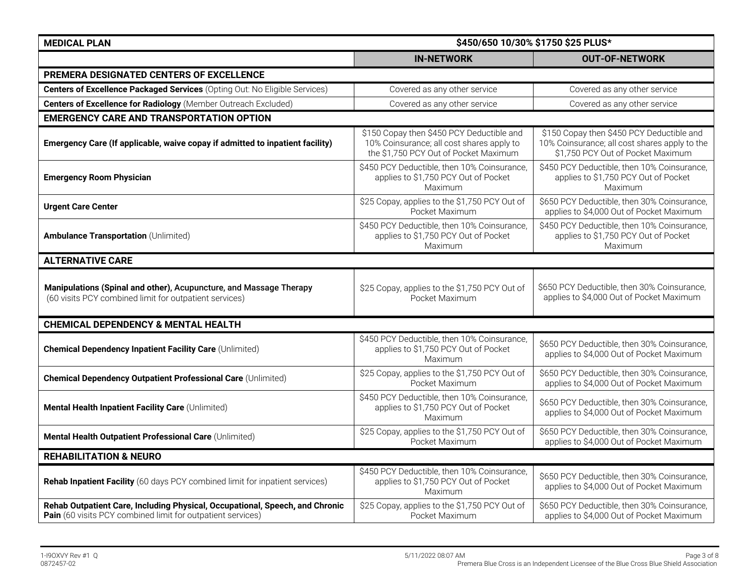| <b>MEDICAL PLAN</b>                                                                                                                         | \$450/650 10/30% \$1750 \$25 PLUS*                                                                                              |                                                                                                                                 |
|---------------------------------------------------------------------------------------------------------------------------------------------|---------------------------------------------------------------------------------------------------------------------------------|---------------------------------------------------------------------------------------------------------------------------------|
|                                                                                                                                             | <b>IN-NETWORK</b>                                                                                                               | <b>OUT-OF-NETWORK</b>                                                                                                           |
| PREMERA DESIGNATED CENTERS OF EXCELLENCE                                                                                                    |                                                                                                                                 |                                                                                                                                 |
| Centers of Excellence Packaged Services (Opting Out: No Eligible Services)                                                                  | Covered as any other service                                                                                                    | Covered as any other service                                                                                                    |
| <b>Centers of Excellence for Radiology</b> (Member Outreach Excluded)                                                                       | Covered as any other service                                                                                                    | Covered as any other service                                                                                                    |
| <b>EMERGENCY CARE AND TRANSPORTATION OPTION</b>                                                                                             |                                                                                                                                 |                                                                                                                                 |
| Emergency Care (If applicable, waive copay if admitted to inpatient facility)                                                               | \$150 Copay then \$450 PCY Deductible and<br>10% Coinsurance; all cost shares apply to<br>the \$1,750 PCY Out of Pocket Maximum | \$150 Copay then \$450 PCY Deductible and<br>10% Coinsurance; all cost shares apply to the<br>\$1,750 PCY Out of Pocket Maximum |
| <b>Emergency Room Physician</b>                                                                                                             | \$450 PCY Deductible, then 10% Coinsurance,<br>applies to \$1,750 PCY Out of Pocket<br>Maximum                                  | \$450 PCY Deductible, then 10% Coinsurance,<br>applies to \$1,750 PCY Out of Pocket<br>Maximum                                  |
| <b>Urgent Care Center</b>                                                                                                                   | \$25 Copay, applies to the \$1,750 PCY Out of<br>Pocket Maximum                                                                 | \$650 PCY Deductible, then 30% Coinsurance,<br>applies to \$4,000 Out of Pocket Maximum                                         |
| <b>Ambulance Transportation (Unlimited)</b>                                                                                                 | \$450 PCY Deductible, then 10% Coinsurance<br>applies to \$1,750 PCY Out of Pocket<br>Maximum                                   | \$450 PCY Deductible, then 10% Coinsurance,<br>applies to \$1,750 PCY Out of Pocket<br>Maximum                                  |
| <b>ALTERNATIVE CARE</b>                                                                                                                     |                                                                                                                                 |                                                                                                                                 |
| Manipulations (Spinal and other), Acupuncture, and Massage Therapy<br>(60 visits PCY combined limit for outpatient services)                | \$25 Copay, applies to the \$1,750 PCY Out of<br>Pocket Maximum                                                                 | \$650 PCY Deductible, then 30% Coinsurance,<br>applies to \$4,000 Out of Pocket Maximum                                         |
| <b>CHEMICAL DEPENDENCY &amp; MENTAL HEALTH</b>                                                                                              |                                                                                                                                 |                                                                                                                                 |
| <b>Chemical Dependency Inpatient Facility Care (Unlimited)</b>                                                                              | \$450 PCY Deductible, then 10% Coinsurance,<br>applies to \$1,750 PCY Out of Pocket<br>Maximum                                  | \$650 PCY Deductible, then 30% Coinsurance,<br>applies to \$4,000 Out of Pocket Maximum                                         |
| <b>Chemical Dependency Outpatient Professional Care (Unlimited)</b>                                                                         | \$25 Copay, applies to the \$1,750 PCY Out of<br>Pocket Maximum                                                                 | \$650 PCY Deductible, then 30% Coinsurance,<br>applies to \$4,000 Out of Pocket Maximum                                         |
| Mental Health Inpatient Facility Care (Unlimited)                                                                                           | \$450 PCY Deductible, then 10% Coinsurance,<br>applies to \$1,750 PCY Out of Pocket<br>Maximum                                  | \$650 PCY Deductible, then 30% Coinsurance,<br>applies to \$4,000 Out of Pocket Maximum                                         |
| Mental Health Outpatient Professional Care (Unlimited)                                                                                      | \$25 Copay, applies to the \$1,750 PCY Out of<br>Pocket Maximum                                                                 | \$650 PCY Deductible, then 30% Coinsurance,<br>applies to \$4,000 Out of Pocket Maximum                                         |
| <b>REHABILITATION &amp; NEURO</b>                                                                                                           |                                                                                                                                 |                                                                                                                                 |
| Rehab Inpatient Facility (60 days PCY combined limit for inpatient services)                                                                | \$450 PCY Deductible, then 10% Coinsurance,<br>applies to \$1,750 PCY Out of Pocket<br>Maximum                                  | \$650 PCY Deductible, then 30% Coinsurance,<br>applies to \$4,000 Out of Pocket Maximum                                         |
| Rehab Outpatient Care, Including Physical, Occupational, Speech, and Chronic<br>Pain (60 visits PCY combined limit for outpatient services) | \$25 Copay, applies to the \$1,750 PCY Out of<br>Pocket Maximum                                                                 | \$650 PCY Deductible, then 30% Coinsurance,<br>applies to \$4,000 Out of Pocket Maximum                                         |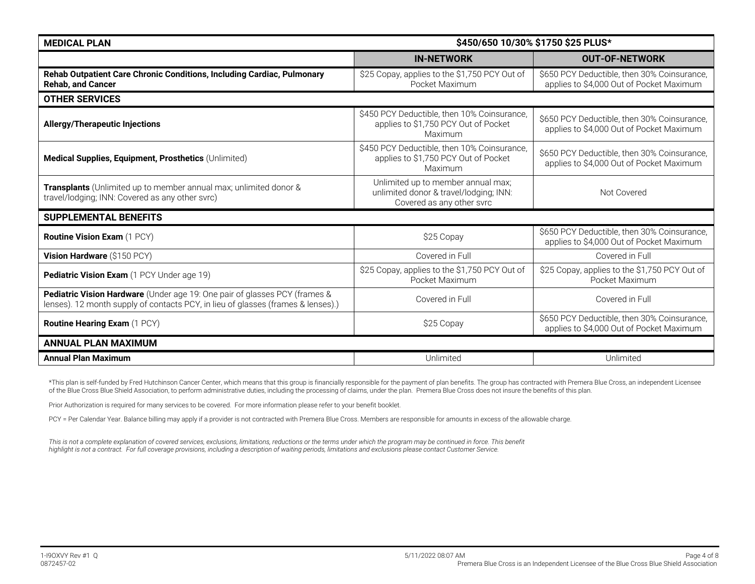| <b>MEDICAL PLAN</b>                                                                                                                                            | \$450/650 10/30% \$1750 \$25 PLUS*                                                                        |                                                                                         |
|----------------------------------------------------------------------------------------------------------------------------------------------------------------|-----------------------------------------------------------------------------------------------------------|-----------------------------------------------------------------------------------------|
|                                                                                                                                                                | <b>IN-NETWORK</b>                                                                                         | <b>OUT-OF-NETWORK</b>                                                                   |
| Rehab Outpatient Care Chronic Conditions, Including Cardiac, Pulmonary<br><b>Rehab, and Cancer</b>                                                             | \$25 Copay, applies to the \$1,750 PCY Out of<br>Pocket Maximum                                           | \$650 PCY Deductible, then 30% Coinsurance,<br>applies to \$4,000 Out of Pocket Maximum |
| <b>OTHER SERVICES</b>                                                                                                                                          |                                                                                                           |                                                                                         |
| <b>Allergy/Therapeutic Injections</b>                                                                                                                          | \$450 PCY Deductible, then 10% Coinsurance,<br>applies to \$1,750 PCY Out of Pocket<br>Maximum            | \$650 PCY Deductible, then 30% Coinsurance,<br>applies to \$4,000 Out of Pocket Maximum |
| Medical Supplies, Equipment, Prosthetics (Unlimited)                                                                                                           | \$450 PCY Deductible, then 10% Coinsurance,<br>applies to \$1,750 PCY Out of Pocket<br>Maximum            | \$650 PCY Deductible, then 30% Coinsurance,<br>applies to \$4,000 Out of Pocket Maximum |
| Transplants (Unlimited up to member annual max; unlimited donor &<br>travel/lodging; INN: Covered as any other svrc)                                           | Unlimited up to member annual max;<br>unlimited donor & travel/lodging; INN:<br>Covered as any other svrc | Not Covered                                                                             |
| <b>SUPPLEMENTAL BENEFITS</b>                                                                                                                                   |                                                                                                           |                                                                                         |
| <b>Routine Vision Exam (1 PCY)</b>                                                                                                                             | \$25 Copay                                                                                                | \$650 PCY Deductible, then 30% Coinsurance,<br>applies to \$4,000 Out of Pocket Maximum |
| Vision Hardware (\$150 PCY)                                                                                                                                    | Covered in Full                                                                                           | Covered in Full                                                                         |
| Pediatric Vision Exam (1 PCY Under age 19)                                                                                                                     | \$25 Copay, applies to the \$1,750 PCY Out of<br>Pocket Maximum                                           | \$25 Copay, applies to the \$1,750 PCY Out of<br>Pocket Maximum                         |
| Pediatric Vision Hardware (Under age 19: One pair of glasses PCY (frames &<br>lenses). 12 month supply of contacts PCY, in lieu of glasses (frames & lenses).) | Covered in Full                                                                                           | Covered in Full                                                                         |
| <b>Routine Hearing Exam (1 PCY)</b>                                                                                                                            | \$25 Copay                                                                                                | \$650 PCY Deductible, then 30% Coinsurance,<br>applies to \$4,000 Out of Pocket Maximum |
| <b>ANNUAL PLAN MAXIMUM</b>                                                                                                                                     |                                                                                                           |                                                                                         |
| <b>Annual Plan Maximum</b>                                                                                                                                     | Unlimited                                                                                                 | Unlimited                                                                               |

\*This plan is self-funded by Fred Hutchinson Cancer Center, which means that this group is financially responsible for the payment of plan benefits. The group has contracted with Premera Blue Cross, an independent Licensee of the Blue Cross Blue Shield Association, to perform administrative duties, including the processing of claims, under the plan. Premera Blue Cross does not insure the benefits of this plan.

Prior Authorization is required for many services to be covered. For more information please refer to your benefit booklet.

PCY = Per Calendar Year. Balance billing may apply if a provider is not contracted with Premera Blue Cross. Members are responsible for amounts in excess of the allowable charge.

This is not a complete explanation of covered services, exclusions, limitations, reductions or the terms under which the program may be continued in force. This benefit *highlight is not a contract. For full coverage provisions, including a description of waiting periods, limitations and exclusions please contact Customer Service.*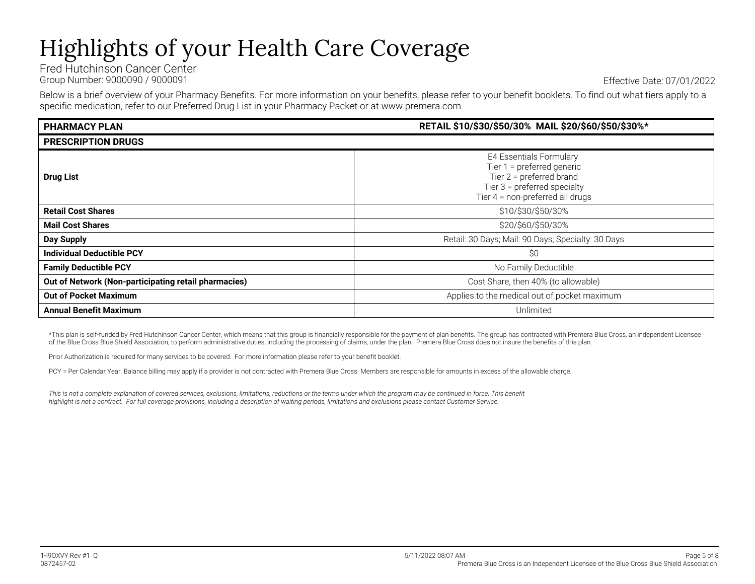# Highlights of your Health Care Coverage

Fred Hutchinson Cancer Center Group Number: 9000090 / 9000091 Effective Date: 07/01/2022

Below is a brief overview of your Pharmacy Benefits. For more information on your benefits, please refer to your benefit booklets. To find out what tiers apply to a specific medication, refer to our Preferred Drug List in your Pharmacy Packet or at www.premera.com

| <b>PHARMACY PLAN</b>                                 | RETAIL \$10/\$30/\$50/30% MAIL \$20/\$60/\$50/\$30%*                                                                                                           |  |  |
|------------------------------------------------------|----------------------------------------------------------------------------------------------------------------------------------------------------------------|--|--|
| <b>PRESCRIPTION DRUGS</b>                            |                                                                                                                                                                |  |  |
| <b>Drug List</b>                                     | <b>E4 Essentials Formulary</b><br>Tier $1 =$ preferred generic<br>Tier 2 = preferred brand<br>Tier 3 = preferred specialty<br>Tier 4 = non-preferred all drugs |  |  |
| <b>Retail Cost Shares</b>                            | \$10/\$30/\$50/30%                                                                                                                                             |  |  |
| <b>Mail Cost Shares</b>                              | \$20/\$60/\$50/30%                                                                                                                                             |  |  |
| <b>Day Supply</b>                                    | Retail: 30 Days; Mail: 90 Days; Specialty: 30 Days                                                                                                             |  |  |
| <b>Individual Deductible PCY</b>                     | \$0                                                                                                                                                            |  |  |
| <b>Family Deductible PCY</b>                         | No Family Deductible                                                                                                                                           |  |  |
| Out of Network (Non-participating retail pharmacies) | Cost Share, then 40% (to allowable)                                                                                                                            |  |  |
| <b>Out of Pocket Maximum</b>                         | Applies to the medical out of pocket maximum                                                                                                                   |  |  |
| <b>Annual Benefit Maximum</b>                        | Unlimited                                                                                                                                                      |  |  |

\*This plan is self-funded by Fred Hutchinson Cancer Center, which means that this group is financially responsible for the payment of plan benefits. The group has contracted with Premera Blue Cross, an independent Licensee of the Blue Cross Blue Shield Association, to perform administrative duties, including the processing of claims, under the plan. Premera Blue Cross does not insure the benefits of this plan.

Prior Authorization is required for many services to be covered. For more information please refer to your benefit booklet.

PCY = Per Calendar Year. Balance billing may apply if a provider is not contracted with Premera Blue Cross. Members are responsible for amounts in excess of the allowable charge.

This is not a complete explanation of covered services, exclusions, limitations, reductions or the terms under which the program may be continued in force. This benefit *highlight is not a contract. For full coverage provisions, including a description of waiting periods, limitations and exclusions please contact Customer Service.*